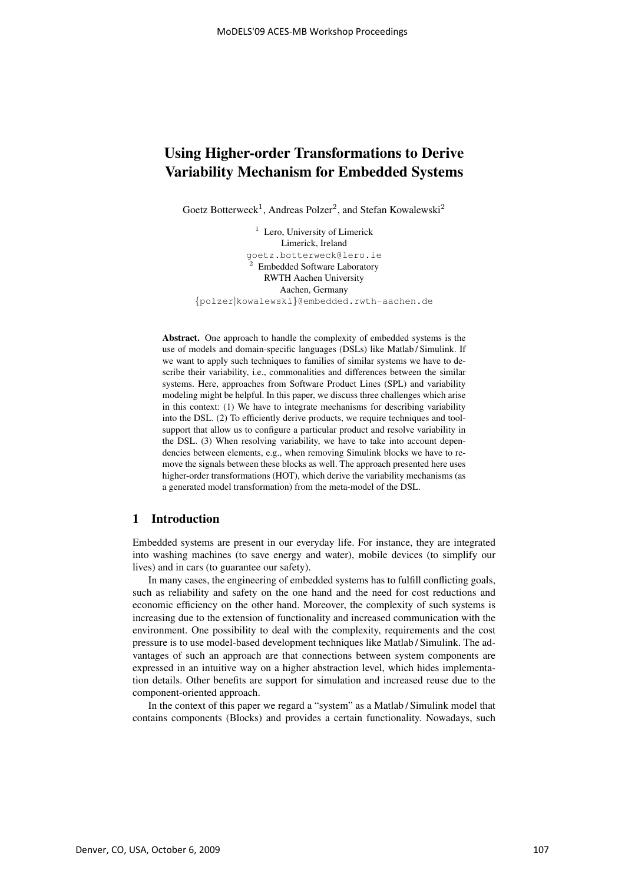# Using Higher-order Transformations to Derive Variability Mechanism for Embedded Systems

Goetz Botterweck<sup>1</sup>, Andreas Polzer<sup>2</sup>, and Stefan Kowalewski<sup>2</sup>

<sup>1</sup> Lero, University of Limerick Limerick, Ireland goetz.botterweck@lero.ie  $2$  Embedded Software Laboratory RWTH Aachen University Aachen, Germany {polzer∣kowalewski}@embedded.rwth-aachen.de

Abstract. One approach to handle the complexity of embedded systems is the use of models and domain-specific languages (DSLs) like Matlab / Simulink. If we want to apply such techniques to families of similar systems we have to describe their variability, i.e., commonalities and differences between the similar systems. Here, approaches from Software Product Lines (SPL) and variability modeling might be helpful. In this paper, we discuss three challenges which arise in this context: (1) We have to integrate mechanisms for describing variability into the DSL. (2) To efficiently derive products, we require techniques and toolsupport that allow us to configure a particular product and resolve variability in the DSL. (3) When resolving variability, we have to take into account dependencies between elements, e.g., when removing Simulink blocks we have to remove the signals between these blocks as well. The approach presented here uses higher-order transformations (HOT), which derive the variability mechanisms (as a generated model transformation) from the meta-model of the DSL.

# 1 Introduction

Embedded systems are present in our everyday life. For instance, they are integrated into washing machines (to save energy and water), mobile devices (to simplify our lives) and in cars (to guarantee our safety).

In many cases, the engineering of embedded systems has to fulfill conflicting goals, such as reliability and safety on the one hand and the need for cost reductions and economic efficiency on the other hand. Moreover, the complexity of such systems is increasing due to the extension of functionality and increased communication with the environment. One possibility to deal with the complexity, requirements and the cost pressure is to use model-based development techniques like Matlab / Simulink. The advantages of such an approach are that connections between system components are expressed in an intuitive way on a higher abstraction level, which hides implementation details. Other benefits are support for simulation and increased reuse due to the component-oriented approach.

In the context of this paper we regard a "system" as a Matlab / Simulink model that contains components (Blocks) and provides a certain functionality. Nowadays, such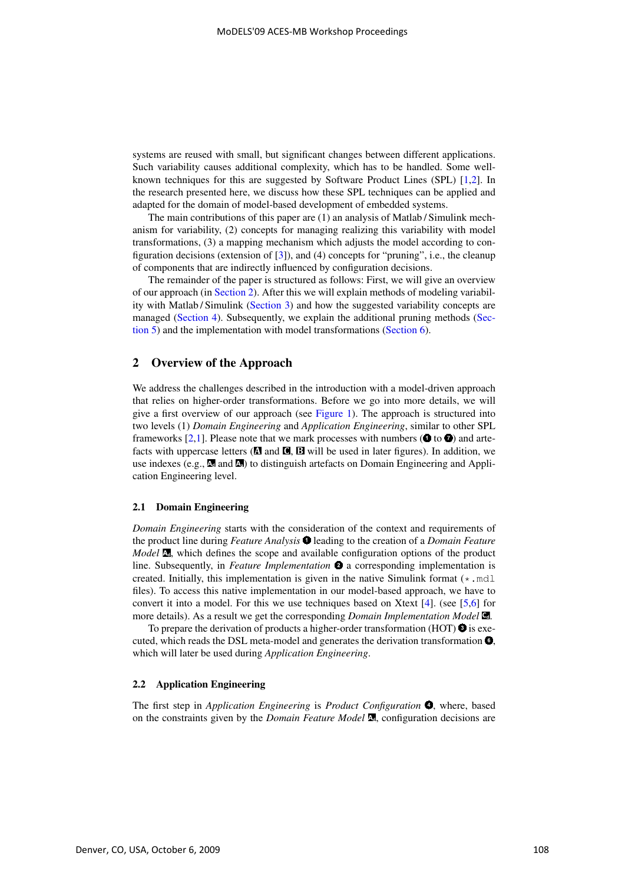systems are reused with small, but significant changes between different applications. Such variability causes additional complexity, which has to be handled. Some wellknown techniques for this are suggested by Software Product Lines (SPL) [1,2]. In the research presented here, we discuss how these SPL techniques can be applied and adapted for the domain of model-based development of embedded systems.

The main contributions of this paper are (1) an analysis of Matlab / Simulink mechanism for variability, (2) concepts for managing realizing this variability with model transformations, (3) a mapping mechanism which adjusts the model according to configuration decisions (extension of [3]), and (4) concepts for "pruning", i.e., the cleanup of components that are indirectly influenced by configuration decisions.

The remainder of the paper is structured as follows: First, we will give an overview of our approach (in Section 2). After this we will explain methods of modeling variability with Matlab / Simulink (Section 3) and how the suggested variability concepts are managed (Section 4). Subsequently, we explain the additional pruning methods (Section 5) and the implementation with model transformations (Section 6).

### 2 Overview of the Approach

We address the challenges described in the introduction with a model-driven approach that relies on higher-order transformations. Before we go into more details, we will give a first overview of our approach (see Figure 1). The approach is structured into two levels (1) *Domain Engineering* and *Application Engineering*, similar to other SPL frameworks [2,1]. Please note that we mark processes with numbers ( $\bullet$  to  $\bullet$ ) and artefacts with uppercase letters  $(x)$  and  $(x)$ ,  $(x)$  will be used in later figures). In addition, we use indexes (e.g., **<sup>d</sup>** and **<sup>a</sup>**) to distinguish artefacts on Domain Engineering and Application Engineering level.

#### 2.1 Domain Engineering

*Domain Engineering* starts with the consideration of the context and requirements of the product line during *Feature Analysis* **O** leading to the creation of a *Domain Feature Model* **d**, which defines the scope and available configuration options of the product line. Subsequently, in *Feature Implementation*  $\bullet$  a corresponding implementation is created. Initially, this implementation is given in the native Simulink format (\*.mdl files). To access this native implementation in our model-based approach, we have to convert it into a model. For this we use techniques based on Xtext [4]. (see [5,6] for more details). As a result we get the corresponding *Domain Implementation Model* **Cd** .

To prepare the derivation of products a higher-order transformation (HOT)  $\bullet$  is executed, which reads the DSL meta-model and generates the derivation transformation  $\bullet$ , which will later be used during *Application Engineering*.

### 2.2 Application Engineering

The first step in *Application Engineering* is *Product Configuration*  $\bullet$ , where, based on the constraints given by the *Domain Feature Model* **<sup>d</sup>**, configuration decisions are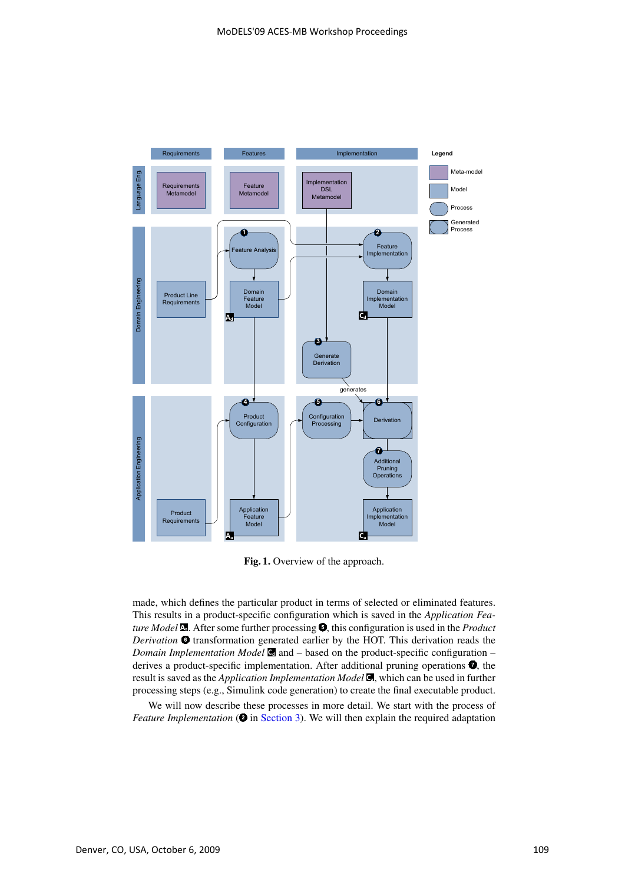

Fig. 1. Overview of the approach.

made, which defines the particular product in terms of selected or eliminated features. This results in a product-specific configuration which is saved in the *Application Feature Model* **a**. After some further processing  $\bullet$ , this configuration is used in the *Product Derivation*  $\bullet$  transformation generated earlier by the HOT. This derivation reads the *Domain Implementation Model*  $\blacksquare$  and – based on the product-specific configuration – derives a product-specific implementation. After additional pruning operations  $\bullet$ , the result is saved as the *Application Implementation Model* **Ca** , which can be used in further processing steps (e.g., Simulink code generation) to create the final executable product.

We will now describe these processes in more detail. We start with the process of *Feature Implementation* ( $\bullet$  in Section 3). We will then explain the required adaptation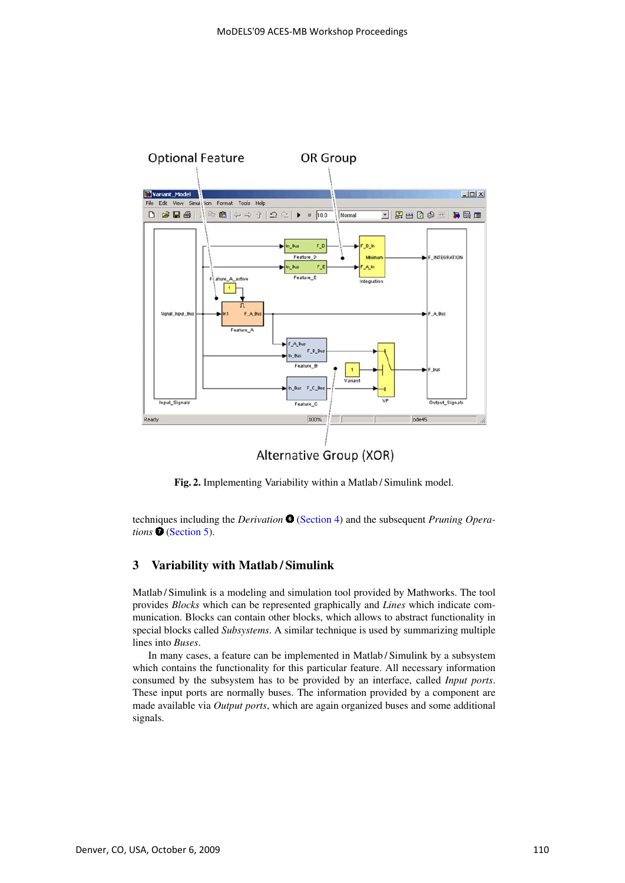

Fig. 2. Implementing Variability within a Matlab / Simulink model.

techniques including the *Derivation*  $\bullet$  (Section 4) and the subsequent *Pruning Opera*tions **☉** (Section 5).

# 3 Variability with Matlab / Simulink

Matlab / Simulink is a modeling and simulation tool provided by Mathworks. The tool provides *Blocks* which can be represented graphically and *Lines* which indicate communication. Blocks can contain other blocks, which allows to abstract functionality in special blocks called *Subsystems*. A similar technique is used by summarizing multiple lines into *Buses*.

In many cases, a feature can be implemented in Matlab / Simulink by a subsystem which contains the functionality for this particular feature. All necessary information consumed by the subsystem has to be provided by an interface, called *Input ports*. These input ports are normally buses. The information provided by a component are made available via *Output ports*, which are again organized buses and some additional signals.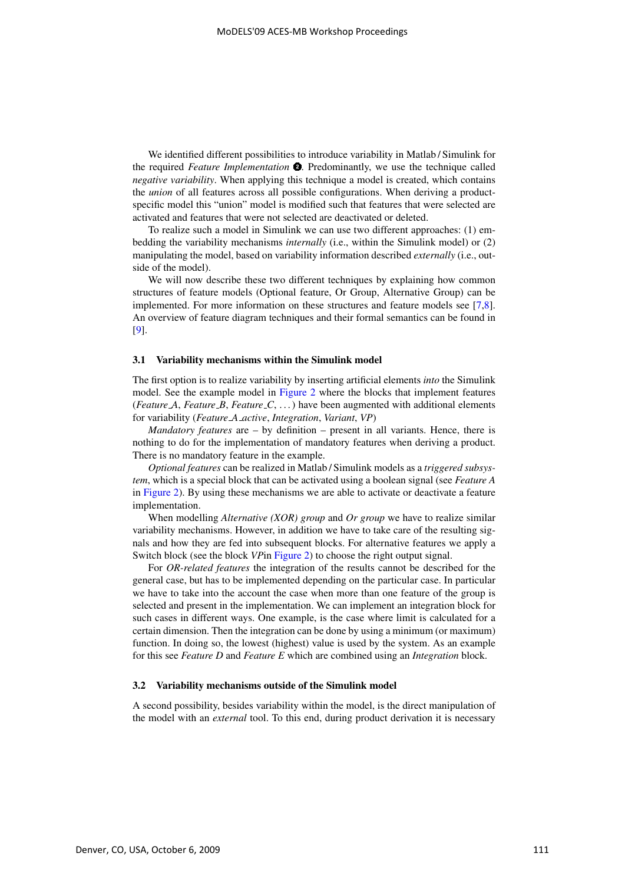We identified different possibilities to introduce variability in Matlab / Simulink for the required *Feature Implementation*  $\bullet$ . Predominantly, we use the technique called *negative variability*. When applying this technique a model is created, which contains the *union* of all features across all possible configurations. When deriving a productspecific model this "union" model is modified such that features that were selected are activated and features that were not selected are deactivated or deleted.

To realize such a model in Simulink we can use two different approaches: (1) embedding the variability mechanisms *internally* (i.e., within the Simulink model) or (2) manipulating the model, based on variability information described *externally* (i.e., outside of the model).

We will now describe these two different techniques by explaining how common structures of feature models (Optional feature, Or Group, Alternative Group) can be implemented. For more information on these structures and feature models see [7,8]. An overview of feature diagram techniques and their formal semantics can be found in [9].

#### 3.1 Variability mechanisms within the Simulink model

The first option is to realize variability by inserting artificial elements *into* the Simulink model. See the example model in Figure 2 where the blocks that implement features (*Feature A*, *Feature B*, *Feature C*, . . . ) have been augmented with additional elements for variability (*Feature A active*, *Integration*, *Variant*, *VP*)

*Mandatory features* are – by definition – present in all variants. Hence, there is nothing to do for the implementation of mandatory features when deriving a product. There is no mandatory feature in the example.

*Optional features* can be realized in Matlab / Simulink models as a *triggered subsystem*, which is a special block that can be activated using a boolean signal (see *Feature A* in Figure 2). By using these mechanisms we are able to activate or deactivate a feature implementation.

When modelling *Alternative (XOR) group* and *Or group* we have to realize similar variability mechanisms. However, in addition we have to take care of the resulting signals and how they are fed into subsequent blocks. For alternative features we apply a Switch block (see the block *VP*in Figure 2) to choose the right output signal.

For *OR-related features* the integration of the results cannot be described for the general case, but has to be implemented depending on the particular case. In particular we have to take into the account the case when more than one feature of the group is selected and present in the implementation. We can implement an integration block for such cases in different ways. One example, is the case where limit is calculated for a certain dimension. Then the integration can be done by using a minimum (or maximum) function. In doing so, the lowest (highest) value is used by the system. As an example for this see *Feature D* and *Feature E* which are combined using an *Integration* block.

### 3.2 Variability mechanisms outside of the Simulink model

A second possibility, besides variability within the model, is the direct manipulation of the model with an *external* tool. To this end, during product derivation it is necessary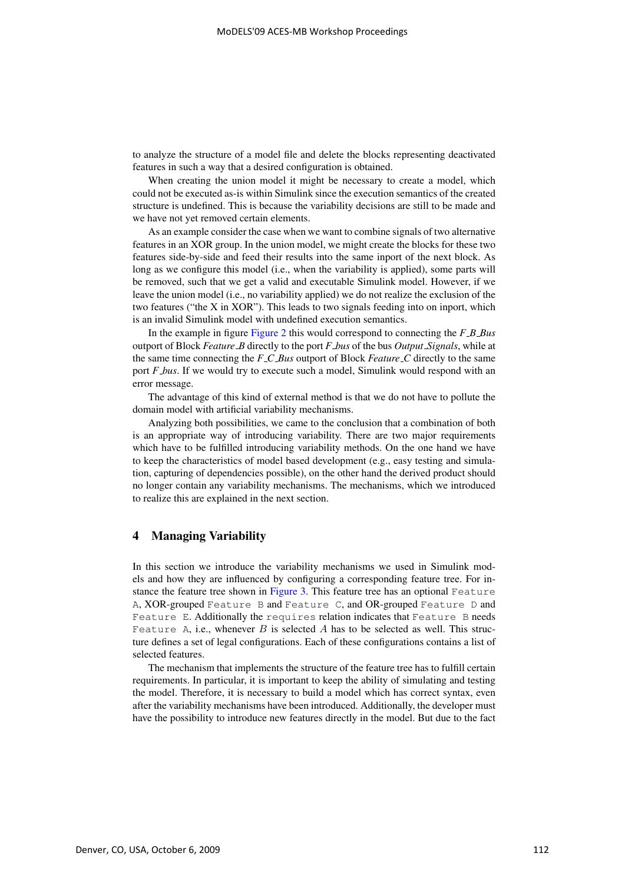to analyze the structure of a model file and delete the blocks representing deactivated features in such a way that a desired configuration is obtained.

When creating the union model it might be necessary to create a model, which could not be executed as-is within Simulink since the execution semantics of the created structure is undefined. This is because the variability decisions are still to be made and we have not yet removed certain elements.

As an example consider the case when we want to combine signals of two alternative features in an XOR group. In the union model, we might create the blocks for these two features side-by-side and feed their results into the same inport of the next block. As long as we configure this model (i.e., when the variability is applied), some parts will be removed, such that we get a valid and executable Simulink model. However, if we leave the union model (i.e., no variability applied) we do not realize the exclusion of the two features ("the X in XOR"). This leads to two signals feeding into on inport, which is an invalid Simulink model with undefined execution semantics.

In the example in figure Figure 2 this would correspond to connecting the *F B Bus* outport of Block *Feature B* directly to the port *F bus* of the bus *Output Signals*, while at the same time connecting the *F C Bus* outport of Block *Feature C* directly to the same port *F bus*. If we would try to execute such a model, Simulink would respond with an error message.

The advantage of this kind of external method is that we do not have to pollute the domain model with artificial variability mechanisms.

Analyzing both possibilities, we came to the conclusion that a combination of both is an appropriate way of introducing variability. There are two major requirements which have to be fulfilled introducing variability methods. On the one hand we have to keep the characteristics of model based development (e.g., easy testing and simulation, capturing of dependencies possible), on the other hand the derived product should no longer contain any variability mechanisms. The mechanisms, which we introduced to realize this are explained in the next section.

# 4 Managing Variability

In this section we introduce the variability mechanisms we used in Simulink models and how they are influenced by configuring a corresponding feature tree. For instance the feature tree shown in Figure 3. This feature tree has an optional Feature A, XOR-grouped Feature B and Feature C, and OR-grouped Feature D and Feature E. Additionally the requires relation indicates that Feature B needs Feature A, i.e., whenever  $B$  is selected  $A$  has to be selected as well. This structure defines a set of legal configurations. Each of these configurations contains a list of selected features.

The mechanism that implements the structure of the feature tree has to fulfill certain requirements. In particular, it is important to keep the ability of simulating and testing the model. Therefore, it is necessary to build a model which has correct syntax, even after the variability mechanisms have been introduced. Additionally, the developer must have the possibility to introduce new features directly in the model. But due to the fact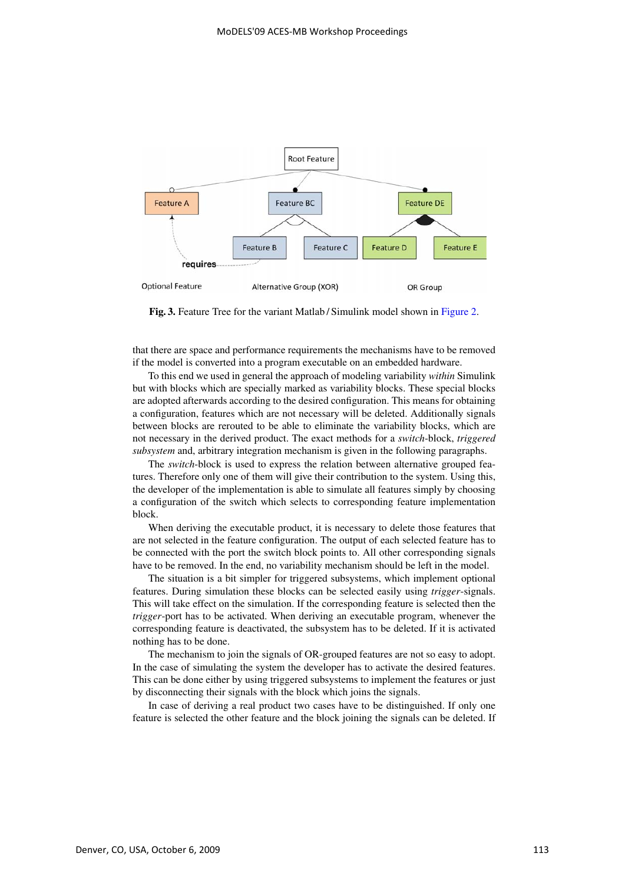

Fig. 3. Feature Tree for the variant Matlab / Simulink model shown in Figure 2.

that there are space and performance requirements the mechanisms have to be removed if the model is converted into a program executable on an embedded hardware.

To this end we used in general the approach of modeling variability *within* Simulink but with blocks which are specially marked as variability blocks. These special blocks are adopted afterwards according to the desired configuration. This means for obtaining a configuration, features which are not necessary will be deleted. Additionally signals between blocks are rerouted to be able to eliminate the variability blocks, which are not necessary in the derived product. The exact methods for a *switch*-block, *triggered subsystem* and, arbitrary integration mechanism is given in the following paragraphs.

The *switch*-block is used to express the relation between alternative grouped features. Therefore only one of them will give their contribution to the system. Using this, the developer of the implementation is able to simulate all features simply by choosing a configuration of the switch which selects to corresponding feature implementation block.

When deriving the executable product, it is necessary to delete those features that are not selected in the feature configuration. The output of each selected feature has to be connected with the port the switch block points to. All other corresponding signals have to be removed. In the end, no variability mechanism should be left in the model.

The situation is a bit simpler for triggered subsystems, which implement optional features. During simulation these blocks can be selected easily using *trigger*-signals. This will take effect on the simulation. If the corresponding feature is selected then the *trigger*-port has to be activated. When deriving an executable program, whenever the corresponding feature is deactivated, the subsystem has to be deleted. If it is activated nothing has to be done.

The mechanism to join the signals of OR-grouped features are not so easy to adopt. In the case of simulating the system the developer has to activate the desired features. This can be done either by using triggered subsystems to implement the features or just by disconnecting their signals with the block which joins the signals.

In case of deriving a real product two cases have to be distinguished. If only one feature is selected the other feature and the block joining the signals can be deleted. If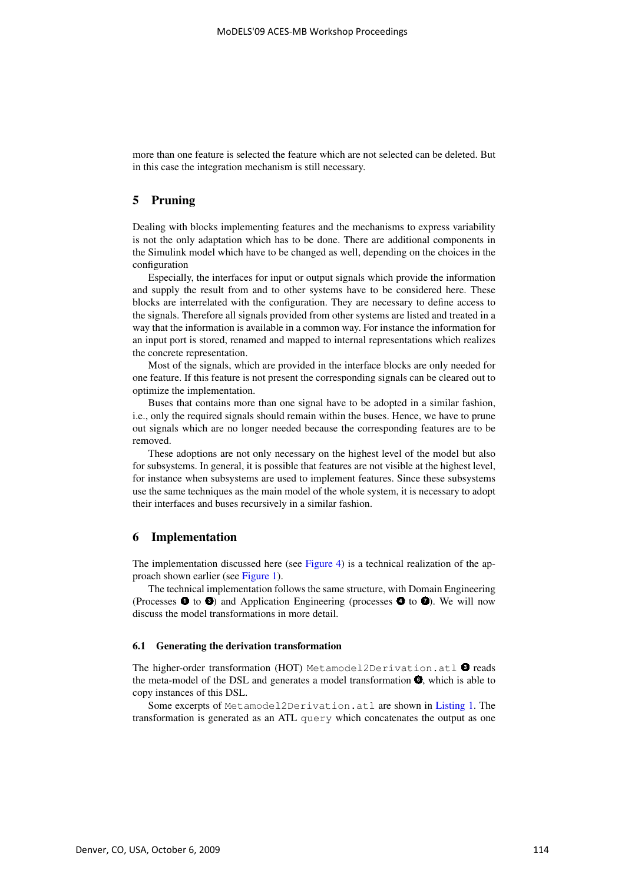more than one feature is selected the feature which are not selected can be deleted. But in this case the integration mechanism is still necessary.

# 5 Pruning

Dealing with blocks implementing features and the mechanisms to express variability is not the only adaptation which has to be done. There are additional components in the Simulink model which have to be changed as well, depending on the choices in the configuration

Especially, the interfaces for input or output signals which provide the information and supply the result from and to other systems have to be considered here. These blocks are interrelated with the configuration. They are necessary to define access to the signals. Therefore all signals provided from other systems are listed and treated in a way that the information is available in a common way. For instance the information for an input port is stored, renamed and mapped to internal representations which realizes the concrete representation.

Most of the signals, which are provided in the interface blocks are only needed for one feature. If this feature is not present the corresponding signals can be cleared out to optimize the implementation.

Buses that contains more than one signal have to be adopted in a similar fashion, i.e., only the required signals should remain within the buses. Hence, we have to prune out signals which are no longer needed because the corresponding features are to be removed.

These adoptions are not only necessary on the highest level of the model but also for subsystems. In general, it is possible that features are not visible at the highest level, for instance when subsystems are used to implement features. Since these subsystems use the same techniques as the main model of the whole system, it is necessary to adopt their interfaces and buses recursively in a similar fashion.

### 6 Implementation

The implementation discussed here (see Figure 4) is a technical realization of the approach shown earlier (see Figure 1).

The technical implementation follows the same structure, with Domain Engineering (Processes  $\bullet$  to  $\bullet$ ) and Application Engineering (processes  $\bullet$  to  $\bullet$ ). We will now discuss the model transformations in more detail.

### 6.1 Generating the derivation transformation

The higher-order transformation (HOT) Metamodel2Derivation.atl  $\bullet$  reads the meta-model of the DSL and generates a model transformation  $\bullet$ , which is able to copy instances of this DSL.

Some excerpts of Metamodel2Derivation.atl are shown in Listing 1. The transformation is generated as an ATL query which concatenates the output as one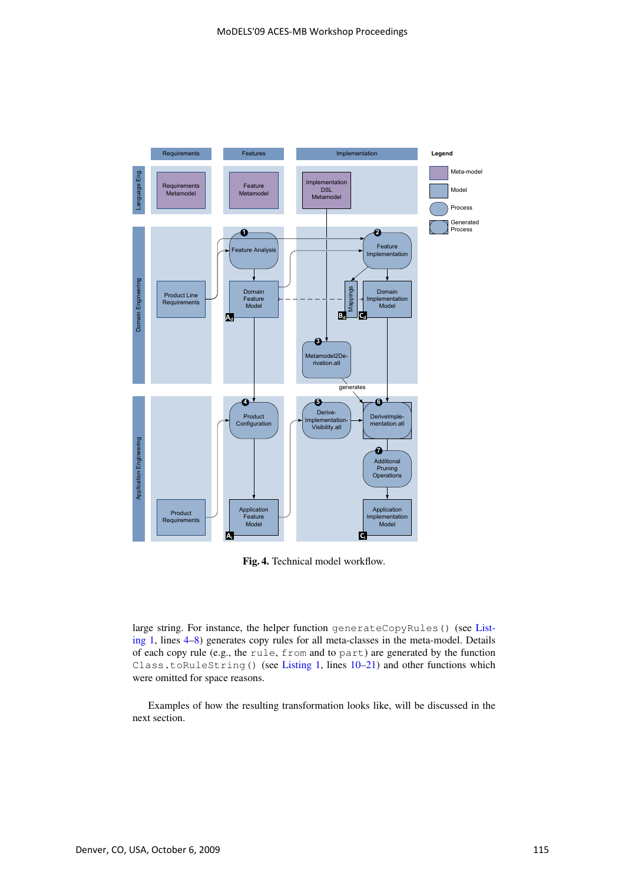

Fig. 4. Technical model workflow.

large string. For instance, the helper function generateCopyRules() (see Listing 1, lines 4–8) generates copy rules for all meta-classes in the meta-model. Details of each copy rule (e.g., the rule, from and to part) are generated by the function Class.toRuleString() (see Listing 1, lines 10-21) and other functions which were omitted for space reasons.

Examples of how the resulting transformation looks like, will be discussed in the next section.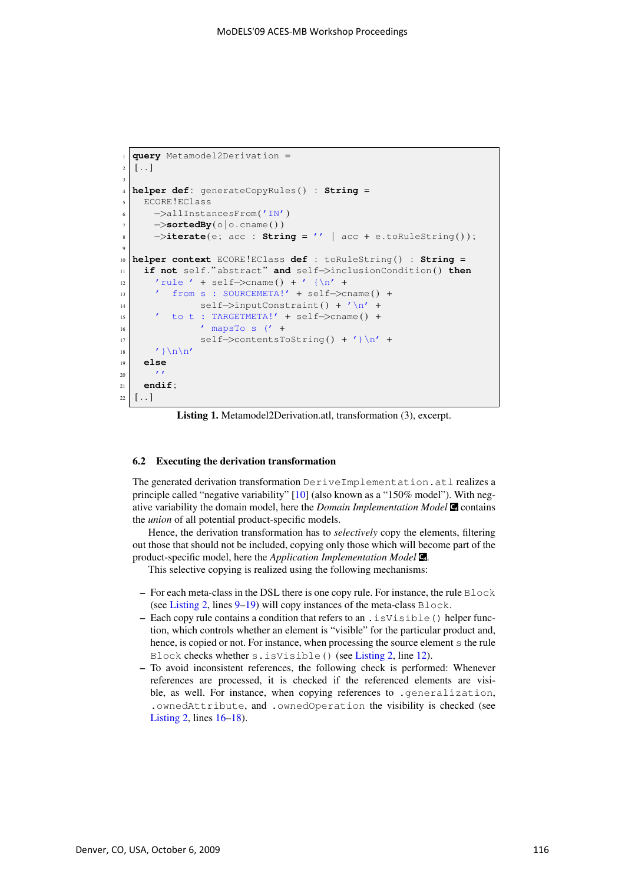```
1 query Metamodel2Derivation =
2 \mid 1 \ldots 13
4 helper def : generateCopyRules () : String =
5 ECORE!EClass
6 −>allInstancesFrom('IN')
7 \rightarrowsortedBy(\circ|\circ.cname())
|8| \rightarrowiterate(e; acc : String = '' | acc + e.toRuleString());
\overline{6}10 helper context ECORE!EClass def : toRuleString () : String =
11 if not self . " abstract" and self−>inclusionCondition ( ) then
\vert n_2 \vert 'rule ' + self->cname() + '{\n' +
13 ' from s : SOURCEMETA!' + self->cname() +
\left| \begin{array}{cc} 14 \end{array} \right| self->inputConstraint() + '\n' +
15 ' to t : TARGETMETA!' + self−>cname () +
\begin{array}{ccc} 16 & \cdot & \cdot & \cdot \\ \end{array} \begin{array}{ccc} \text{mapsTo} & \text{s} & \text{(' +} \\ \end{array}17 self->contentsToString() + ') \n' +
\vert '}\n\n'
19 else
\overline{20} ''
_{21} endif;
22 \lceil..]
```
Listing 1. Metamodel2Derivation.atl, transformation (3), excerpt.

#### 6.2 Executing the derivation transformation

The generated derivation transformation DeriveImplementation.atl realizes a principle called "negative variability" [10] (also known as a "150% model"). With negative variability the domain model, here the *Domain Implementation Model* **C** contains the *union* of all potential product-specific models.

Hence, the derivation transformation has to *selectively* copy the elements, filtering out those that should not be included, copying only those which will become part of the product-specific model, here the *Application Implementation Model* **Cd** .

This selective copying is realized using the following mechanisms:

- For each meta-class in the DSL there is one copy rule. For instance, the rule  $Block$ (see Listing 2, lines  $9-19$ ) will copy instances of the meta-class Block.
- Each copy rule contains a condition that refers to an .isVisible() helper function, which controls whether an element is "visible" for the particular product and, hence, is copied or not. For instance, when processing the source element s the rule Block checks whether s.isVisible() (see Listing 2, line 12).
- To avoid inconsistent references, the following check is performed: Whenever references are processed, it is checked if the referenced elements are visible, as well. For instance, when copying references to .generalization, .ownedAttribute, and .ownedOperation the visibility is checked (see Listing 2, lines 16–18).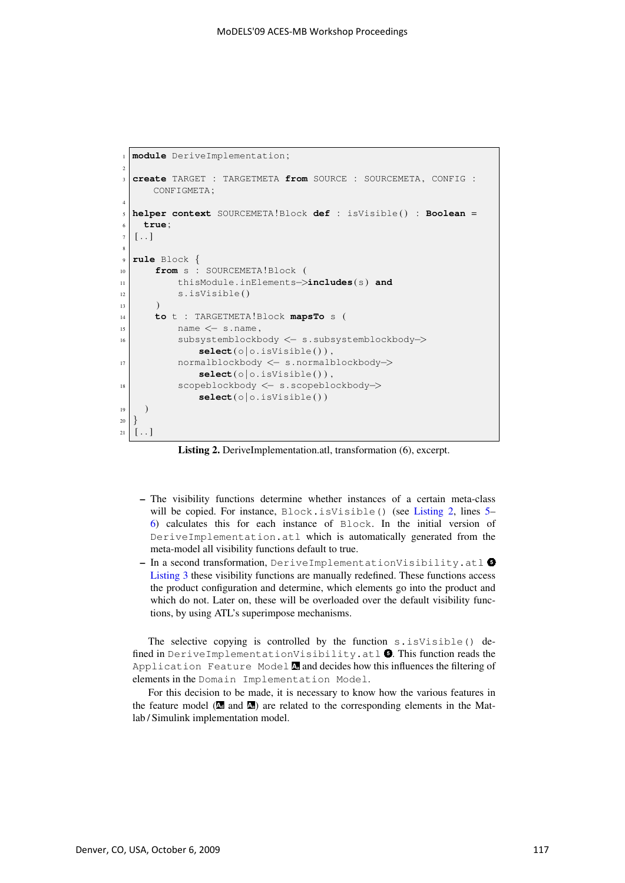```
1 module DeriveImplementation;
2
3 create TARGET : TARGETMETA from SOURCE : SOURCEMETA , CONFIG :
     CONFIGMETA ;
4
5 helper context SOURCEMETA!Block def : isVisible () : Boolean =
6 true ;
7 \lceil..]
8
9 rule Block {
10 from s : SOURCEMETA!Block (
11 thisModule . inElements−>includes(s) and
12 s. isVisible ()
13 )
14 to t : TARGETMETA!Block mapsTo s (
\vert<sub>15</sub> name \langle - s. name,
16 subsystemblockbody <− s . subsystemblockbody−>
              select(o |o.isVisible()),
17 normalblockbody <− s . normalblockbody−>
              select(o | o. isVisible()),
18 scopeblockbody <− s . scopeblockbody−>
              select(o | o. isVisible())
19 )
_{20} }
21 \ldots
```
Listing 2. DeriveImplementation.atl, transformation (6), excerpt.

- The visibility functions determine whether instances of a certain meta-class will be copied. For instance, Block.isVisible() (see Listing 2, lines 5– 6) calculates this for each instance of Block. In the initial version of DeriveImplementation.atl which is automatically generated from the meta-model all visibility functions default to true.
- In a second transformation, DeriveImplementationVisibility.atl Listing 3 these visibility functions are manually redefined. These functions access the product configuration and determine, which elements go into the product and which do not. Later on, these will be overloaded over the default visibility functions, by using ATL's superimpose mechanisms.

The selective copying is controlled by the function s. isVisible() defined in DeriveImplementationVisibility.atl  $\bullet$ . This function reads the Application Feature Model **<sup>a</sup>** and decides how this influences the filtering of elements in the Domain Implementation Model.

For this decision to be made, it is necessary to know how the various features in the feature model  $(\mathbf{A}$  and  $\mathbf{A})$  are related to the corresponding elements in the Matlab / Simulink implementation model.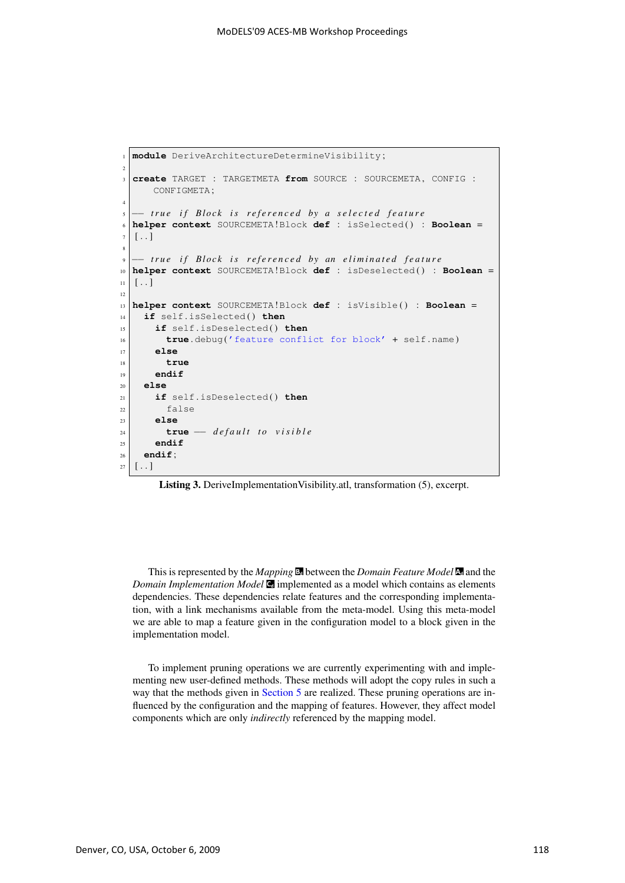```
1 module DeriveArchitectureDetermineVisibility;
2
3 create TARGET : TARGETMETA from SOURCE : SOURCEMETA , CONFIG :
     CONFIGMETA ;
4
5 −− true if Block is referenced by a selected feature
6 helper context SOURCEMETA!Block def : isSelected () : Boolean =
7 [..]
8
9 |- true if Block is referenced by an eliminated feature
10 helper context SOURCEMETA!Block def : isDeselected () : Boolean =
11 \ldots12
13 helper context SOURCEMETA!Block def : isVisible () : Boolean =
14 if self . isSelected ( ) then
15 if self . isDeselected ( ) then
16 true . debug('feature conflict for block' + self . name)
17 else
18 true
19 endif
20 else
21 if self . isDeselected ( ) then
22 false
23 else
24 true −− default to visible
25 endif
_{26} endif;
27 \left[ \ldots \right]
```
Listing 3. DeriveImplementationVisibility.atl, transformation (5), excerpt.

This is represented by the *Mapping* **<sup>d</sup>** between the *Domain Feature Model* **<sup>d</sup>** and the *Domain Implementation Model* **C** implemented as a model which contains as elements dependencies. These dependencies relate features and the corresponding implementation, with a link mechanisms available from the meta-model. Using this meta-model we are able to map a feature given in the configuration model to a block given in the implementation model.

To implement pruning operations we are currently experimenting with and implementing new user-defined methods. These methods will adopt the copy rules in such a way that the methods given in Section 5 are realized. These pruning operations are influenced by the configuration and the mapping of features. However, they affect model components which are only *indirectly* referenced by the mapping model.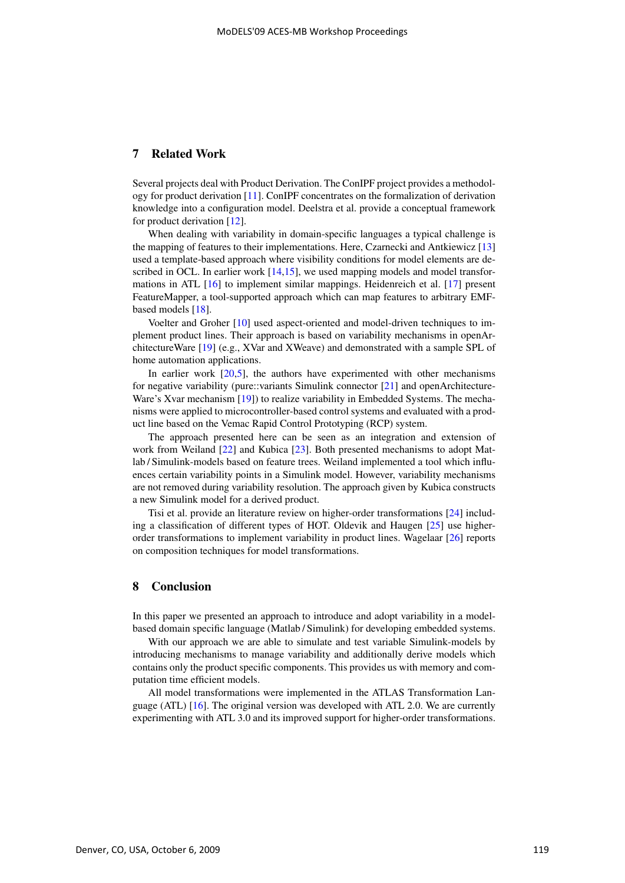# 7 Related Work

Several projects deal with Product Derivation. The ConIPF project provides a methodology for product derivation [11]. ConIPF concentrates on the formalization of derivation knowledge into a configuration model. Deelstra et al. provide a conceptual framework for product derivation [12].

When dealing with variability in domain-specific languages a typical challenge is the mapping of features to their implementations. Here, Czarnecki and Antkiewicz [13] used a template-based approach where visibility conditions for model elements are described in OCL. In earlier work [14,15], we used mapping models and model transformations in ATL [16] to implement similar mappings. Heidenreich et al. [17] present FeatureMapper, a tool-supported approach which can map features to arbitrary EMFbased models [18].

Voelter and Groher [10] used aspect-oriented and model-driven techniques to implement product lines. Their approach is based on variability mechanisms in openArchitectureWare [19] (e.g., XVar and XWeave) and demonstrated with a sample SPL of home automation applications.

In earlier work  $[20,5]$ , the authors have experimented with other mechanisms for negative variability (pure::variants Simulink connector [21] and openArchitecture-Ware's Xvar mechanism [19]) to realize variability in Embedded Systems. The mechanisms were applied to microcontroller-based control systems and evaluated with a product line based on the Vemac Rapid Control Prototyping (RCP) system.

The approach presented here can be seen as an integration and extension of work from Weiland [22] and Kubica [23]. Both presented mechanisms to adopt Matlab / Simulink-models based on feature trees. Weiland implemented a tool which influences certain variability points in a Simulink model. However, variability mechanisms are not removed during variability resolution. The approach given by Kubica constructs a new Simulink model for a derived product.

Tisi et al. provide an literature review on higher-order transformations [24] including a classification of different types of HOT. Oldevik and Haugen [25] use higherorder transformations to implement variability in product lines. Wagelaar [26] reports on composition techniques for model transformations.

### 8 Conclusion

In this paper we presented an approach to introduce and adopt variability in a modelbased domain specific language (Matlab / Simulink) for developing embedded systems.

With our approach we are able to simulate and test variable Simulink-models by introducing mechanisms to manage variability and additionally derive models which contains only the product specific components. This provides us with memory and computation time efficient models.

All model transformations were implemented in the ATLAS Transformation Language (ATL) [16]. The original version was developed with ATL 2.0. We are currently experimenting with ATL 3.0 and its improved support for higher-order transformations.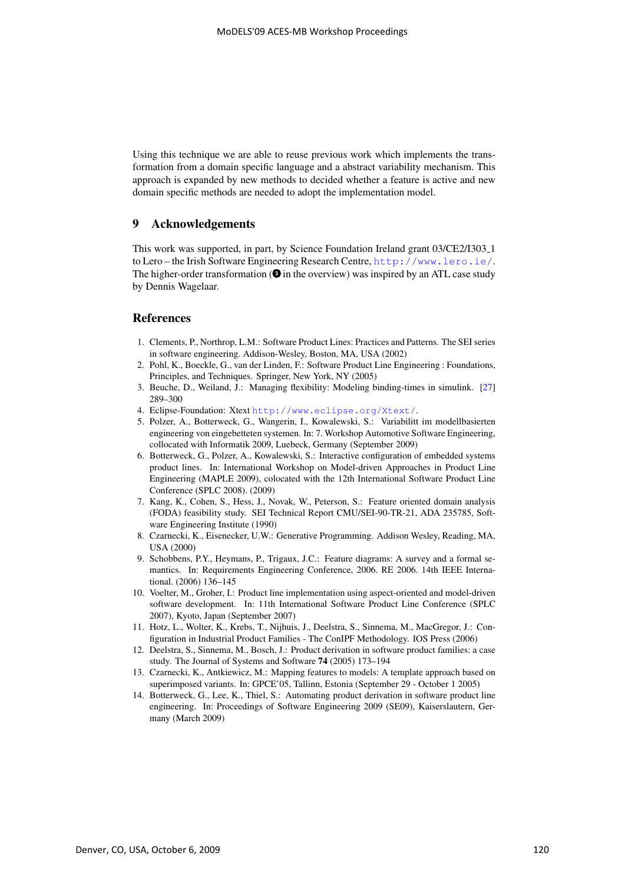Using this technique we are able to reuse previous work which implements the transformation from a domain specific language and a abstract variability mechanism. This approach is expanded by new methods to decided whether a feature is active and new domain specific methods are needed to adopt the implementation model.

# 9 Acknowledgements

This work was supported, in part, by Science Foundation Ireland grant 03/CE2/I303 1 to Lero – the Irish Software Engineering Research Centre, http://www.lero.ie/. The higher-order transformation  $(\bigcirc$  in the overview) was inspired by an ATL case study by Dennis Wagelaar.

### **References**

- 1. Clements, P., Northrop, L.M.: Software Product Lines: Practices and Patterns. The SEI series in software engineering. Addison-Wesley, Boston, MA, USA (2002)
- 2. Pohl, K., Boeckle, G., van der Linden, F.: Software Product Line Engineering : Foundations, Principles, and Techniques. Springer, New York, NY (2005)
- 3. Beuche, D., Weiland, J.: Managing flexibility: Modeling binding-times in simulink. [27] 289–300
- 4. Eclipse-Foundation: Xtext http://www.eclipse.org/Xtext/.
- 5. Polzer, A., Botterweck, G., Wangerin, I., Kowalewski, S.: Variabilitt im modellbasierten engineering von eingebetteten systemen. In: 7. Workshop Automotive Software Engineering, collocated with Informatik 2009, Luebeck, Germany (September 2009)
- 6. Botterweck, G., Polzer, A., Kowalewski, S.: Interactive configuration of embedded systems product lines. In: International Workshop on Model-driven Approaches in Product Line Engineering (MAPLE 2009), colocated with the 12th International Software Product Line Conference (SPLC 2008). (2009)
- 7. Kang, K., Cohen, S., Hess, J., Novak, W., Peterson, S.: Feature oriented domain analysis (FODA) feasibility study. SEI Technical Report CMU/SEI-90-TR-21, ADA 235785, Software Engineering Institute (1990)
- 8. Czarnecki, K., Eisenecker, U.W.: Generative Programming. Addison Wesley, Reading, MA, USA (2000)
- 9. Schobbens, P.Y., Heymans, P., Trigaux, J.C.: Feature diagrams: A survey and a formal semantics. In: Requirements Engineering Conference, 2006. RE 2006. 14th IEEE International. (2006) 136–145
- 10. Voelter, M., Groher, I.: Product line implementation using aspect-oriented and model-driven software development. In: 11th International Software Product Line Conference (SPLC 2007), Kyoto, Japan (September 2007)
- 11. Hotz, L., Wolter, K., Krebs, T., Nijhuis, J., Deelstra, S., Sinnema, M., MacGregor, J.: Configuration in Industrial Product Families - The ConIPF Methodology. IOS Press (2006)
- 12. Deelstra, S., Sinnema, M., Bosch, J.: Product derivation in software product families: a case study. The Journal of Systems and Software 74 (2005) 173–194
- 13. Czarnecki, K., Antkiewicz, M.: Mapping features to models: A template approach based on superimposed variants. In: GPCE'05, Tallinn, Estonia (September 29 - October 1 2005)
- 14. Botterweck, G., Lee, K., Thiel, S.: Automating product derivation in software product line engineering. In: Proceedings of Software Engineering 2009 (SE09), Kaiserslautern, Germany (March 2009)